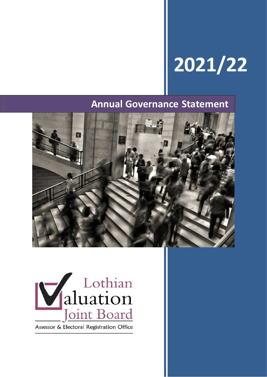# **2021/22**

# **Annual Governance Statement**





Assessor & Electoral Registration Office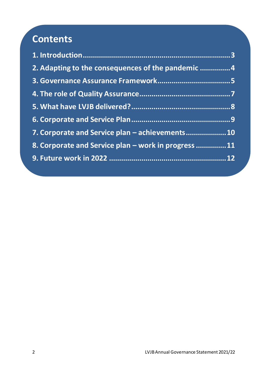# **Contents**

| 2. Adapting to the consequences of the pandemic 4   |
|-----------------------------------------------------|
|                                                     |
|                                                     |
|                                                     |
|                                                     |
| 7. Corporate and Service plan - achievements 10     |
| 8. Corporate and Service plan – work in progress 11 |
|                                                     |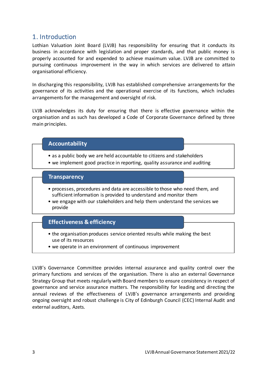#### <span id="page-2-0"></span>1. Introduction

Lothian Valuation Joint Board (LVJB) has responsibility for ensuring that it conducts its business in accordance with legislation and proper standards, and that public money is properly accounted for and expended to achieve maximum value. LVJB are committed to pursuing continuous improvement in the way in which services are delivered to attain organisational efficiency.

In discharging this responsibility, LVJB has established comprehensive arrangements for the governance of its activities and the operational exercise of its functions, which includes arrangements for the management and oversight of risk.

LVJB acknowledges its duty for ensuring that there is effective governance within the organisation and as such has developed a Code of Corporate Governance defined by three main principles.

#### **Accountability**

- as a public body we are held accountable to citizens and stakeholders
- we implement good practice in reporting, quality assurance and auditing

#### **Transparency**

- processes, procedures and data are accessible to those who need them, and sufficient information is provided to understand and monitor them
- we engage with our stakeholders and help them understand the services we provide

#### **Effectiveness & efficiency**

- the organisation produces service oriented results while making the best use of its resources
- we operate in an environment of continuous improvement

LVJB's Governance Committee provides internal assurance and quality control over the primary functions and services of the organisation. There is also an external Governance Strategy Group that meets regularly with Board members to ensure consistency in respect of governance and service assurance matters. The responsibility for leading and directing the annual reviews of the effectiveness of LVJB's governance arrangements and providing ongoing oversight and robust challenge is City of Edinburgh Council (CEC) Internal Audit and external auditors, Azets.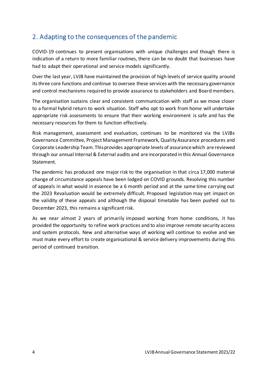#### <span id="page-3-0"></span>2. Adapting to the consequences of the pandemic

COVID-19 continues to present organisations with unique challenges and though there is indication of a return to more familiar routines, there can be no doubt that businesses have had to adapt their operational and service models significantly.

Over the last year, LVJB have maintained the provision of high levels of service quality around its three core functions and continue to oversee these services with the necessary governance and control mechanisms required to provide assurance to stakeholders and Board members.

The organisation sustains clear and consistent communication with staff as we move closer to a formal hybrid return to work situation. Staff who opt to work from home will undertake appropriate risk assessments to ensure that their working environment is safe and has the necessary resources for them to function effectively.

Risk management, assessment and evaluation, continues to be monitored via the LVJBs Governance Committee, Project Management Framework, Quality Assurance procedures and Corporate Leadership Team. This provides appropriate levels of assurance which are reviewed through our annual Internal & External audits and are incorporated in this Annual Governance Statement.

The pandemic has produced one major risk to the organisation in that circa 17,000 material change of circumstance appeals have been lodged on COVID grounds. Resolving this number of appeals in what would in essence be a 6 month period and at the same time carrying out the 2023 Revaluation would be extremely difficult. Proposed legislation may yet impact on the validity of these appeals and although the disposal timetable has been pushed out to December 2023, this remains a significant risk.

As we near almost 2 years of primarily imposed working from home conditions, it has provided the opportunity to refine work practices and to also improve remote security access and system protocols. New and alternative ways of working will continue to evolve and we must make every effort to create organisational & service delivery improvements during this period of continued transition.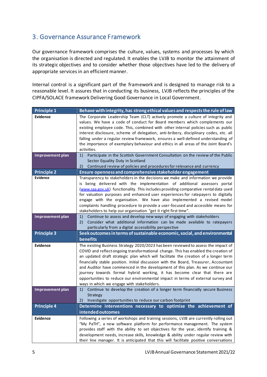#### <span id="page-4-0"></span>3. Governance Assurance Framework

Our governance framework comprises the culture, values, systems and processes by which the organisation is directed and regulated. It enables the LVJB to monitor the attainment of its strategic objectives and to consider whether those objectives have led to the delivery of appropriate services in an efficient manner.

Internal control is a significant part of the framework and is designed to manage risk to a reasonable level. It assures that in conducting its business, LVJB reflects the principles of the CIPFA/SOLACE framework Delivering Good Governance in Local Government.

| <b>Principle 1</b>                  | Behave with integrity, has strong ethical values and respects the rule of law                                                                                                                                                                                                                                                                                                                                                                                                                                                                                                                                                                                                                                                                     |
|-------------------------------------|---------------------------------------------------------------------------------------------------------------------------------------------------------------------------------------------------------------------------------------------------------------------------------------------------------------------------------------------------------------------------------------------------------------------------------------------------------------------------------------------------------------------------------------------------------------------------------------------------------------------------------------------------------------------------------------------------------------------------------------------------|
| <b>Evidence</b>                     | The Corporate Leadership Team (CLT) actively promote a culture of integrity and<br>values. We have a code of conduct for Board members which complements our<br>existing employee code. This, combined with other internal policies such as public<br>interest disclosure, scheme of delegation, anti-bribery, disciplinary codes, etc. all<br>falling under a regular review framework, ensures a well-defined understanding of<br>the importance of exemplary behaviour and ethics in all areas of the Joint Board's                                                                                                                                                                                                                            |
|                                     | activities.                                                                                                                                                                                                                                                                                                                                                                                                                                                                                                                                                                                                                                                                                                                                       |
| Improvement plan                    | Participate in the Scottish Government Consultation on the review of the Public<br>1)<br>Sector Equality Duty in Scotland                                                                                                                                                                                                                                                                                                                                                                                                                                                                                                                                                                                                                         |
|                                     | Continued review of policies and procedures for relevance and currency<br>2)                                                                                                                                                                                                                                                                                                                                                                                                                                                                                                                                                                                                                                                                      |
| <b>Principle 2</b>                  | Ensure openness and comprehensive stakeholder engagement                                                                                                                                                                                                                                                                                                                                                                                                                                                                                                                                                                                                                                                                                          |
| Evidence                            | Transparency to stakeholders in the decisions we make and information we provide<br>is being delivered with the implementation of additional assessors portal<br>(www.saa.gov.uk) functionality. This includes providing comparative rental data used<br>for valuation purposes and enhanced user experiences for ratepayers to digitally<br>engage with the organisation. We have also implemented a revised model<br>complaints handling procedure to provide a user-focused and accessible means for<br>stakeholders to help our organisation "get it right first time".                                                                                                                                                                       |
| Improvement plan                    | Continue to assess and develop new ways of engaging with stakeholders<br>1)<br>Consider what additional information can be made available to ratepayers<br>2)<br>particularly from a digital accessibility perspective                                                                                                                                                                                                                                                                                                                                                                                                                                                                                                                            |
| <b>Principle 3</b>                  | Seek outcomes in terms of sustainable economic, social, and environmental<br>benefits                                                                                                                                                                                                                                                                                                                                                                                                                                                                                                                                                                                                                                                             |
| <b>Evidence</b><br>Improvement plan | The existing Business Strategy 2020/2023 has been reviewed to assess the impact of<br>COVID and reflect ongoing transformational change. This has enabled the creation of<br>an updated draft strategic plan which will facilitate the creation of a longer term<br>financially stable position. Initial discussion with the Board, Treasurer, Accountant<br>and Auditor have commenced in the development of this plan. As we continue our<br>journey towards formal hybrid working, it has become clear that there are<br>opportunities to reduce our environmental impact in terms of external survey and<br>ways in which we engage with stakeholders.<br>Continue to develop the creation of a longer term financially secure Business<br>1) |
|                                     | Strategy<br>Investigate opportunities to reduce our carbon footprint<br>2)                                                                                                                                                                                                                                                                                                                                                                                                                                                                                                                                                                                                                                                                        |
| <b>Principle 4</b>                  | Determine interventions necessary to optimise the achievement of<br>intended outcomes                                                                                                                                                                                                                                                                                                                                                                                                                                                                                                                                                                                                                                                             |
| <b>Evidence</b>                     | Following a series of workshops and training sessions, LVJB are currently rolling out<br>"My PaTH", a new software platform for performance management. The system<br>provides staff with the ability to set objectives for the year, identify training &<br>development needs, increase skills, knowledge & ability under regular review with<br>their line manager. It is anticipated that this will facilitate positive conversations                                                                                                                                                                                                                                                                                                          |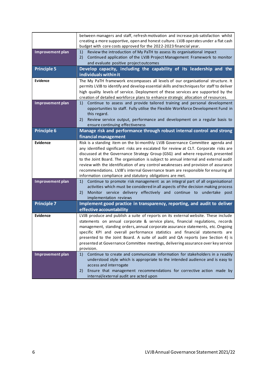|                    | between managers and staff, refresh motivation and increase job satisfaction whilst<br>creating a more supportive, open and honest culture. LVJB operates under a flat cash<br>budget with core costs approved for the 2022-2023 financial year.                                                                                                                                                                                                                                                                                                                                            |
|--------------------|---------------------------------------------------------------------------------------------------------------------------------------------------------------------------------------------------------------------------------------------------------------------------------------------------------------------------------------------------------------------------------------------------------------------------------------------------------------------------------------------------------------------------------------------------------------------------------------------|
| Improvement plan   | Review the introduction of My PaTH to assess its organisational impact<br>1)<br>Continued application of the LVJB Project Management Framework to monitor<br>2)<br>and evaluate positive project outcomes                                                                                                                                                                                                                                                                                                                                                                                   |
| <b>Principle 5</b> | Develop capacity, including the capability of its leadership and the<br>individuals within it                                                                                                                                                                                                                                                                                                                                                                                                                                                                                               |
| Evidence           | The My PaTH framework encompasses all levels of our organisational structure. It<br>permits LVJB to identify and develop essential skills and techniques for staff to deliver<br>high quality levels of service. Deployment of these services are supported by the<br>creation of detailed workforce plans to enhance strategic allocation of resources.                                                                                                                                                                                                                                    |
| Improvement plan   | Continue to assess and provide tailored training and personal development<br>1)<br>opportunities to staff. Fully utilise the Flexible Workforce Development Fund in<br>this regard.<br>Review service output, performance and development on a regular basis to<br>2)<br>ensure continuing effectiveness                                                                                                                                                                                                                                                                                    |
| <b>Principle 6</b> | Manage risk and performance through robust internal control and strong<br>financial management                                                                                                                                                                                                                                                                                                                                                                                                                                                                                              |
| Evidence           | Risk is a standing item on the bi-monthly LVJB Governance Committee agenda and<br>any identified significant risks are escalated for review at CLT. Corporate risks are<br>discussed at the Governance Strategy Group (GSG) and where required, presented<br>to the Joint Board. The organisation is subject to annual internal and external audit<br>review with the identification of any control weaknesses and provision of assurance<br>recommendations. LVJB's internal Governance team are responsible for ensuring all<br>information compliance and statutory obligations are met. |
| Improvement plan   | Continue to promote risk management as an integral part of all organisational<br>1)<br>activities which must be considered in all aspects of the decision making process<br>Monitor service delivery effectively and continue to<br>undertake post<br>2)<br>implementation reviews                                                                                                                                                                                                                                                                                                          |
| <b>Principle 7</b> | Implement good practice in transparency, reporting, and audit to deliver<br>effective accountability                                                                                                                                                                                                                                                                                                                                                                                                                                                                                        |
| <b>Evidence</b>    | LVJB produce and publish a suite of reports on its external website. These include<br>statements on annual corporate & service plans, financial regulations, records<br>management, standing orders, annual corporate assurance statements, etc. Ongoing<br>specific KPI and overall performance statistics and financial statements are<br>presented to the Joint Board. A suite of audit and QA reports (see Section 4) is<br>presented at Governance Committee meetings, delivering assurance over key service<br>provision.                                                             |
| Improvement plan   | Continue to create and communicate information for stakeholders in a readily<br>1)<br>understood style which is appropriate to the intended audience and is easy to<br>access and interrogate<br>Ensure that management recommendations for corrective action made by<br>2)<br>internal/external audit are acted upon                                                                                                                                                                                                                                                                       |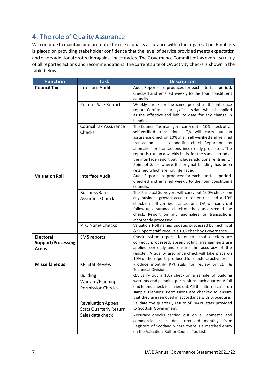# <span id="page-6-0"></span>4. The role of Quality Assurance

We continue to maintain and promote the role of quality assurance within the organisation. Emphasis is placed on providing stakeholder confidence that the level of service provided meets expectation and offers additional protection against inaccuracies. The Governance Committee has overall scrutiny of all reported actions and recommendations. The current suite of QA activity checks is shown in the table below.

| <b>Function</b>                                               | <b>Task</b>                                                     | <b>Description</b>                                                                                                                                                                                                                                                                                                                                                                                                                                                                                    |
|---------------------------------------------------------------|-----------------------------------------------------------------|-------------------------------------------------------------------------------------------------------------------------------------------------------------------------------------------------------------------------------------------------------------------------------------------------------------------------------------------------------------------------------------------------------------------------------------------------------------------------------------------------------|
| <b>Council Tax</b>                                            | <b>Interface Audit</b>                                          | Audit Reports are produced for each interface period.<br>Checked and emailed weekly to the four constituent<br>councils.                                                                                                                                                                                                                                                                                                                                                                              |
|                                                               | Point of Sale Reports                                           | Weekly check for the same period as the interface<br>report. Confirm accuracy of sales date which is applied<br>as the effective and liability date for any change in<br>banding.                                                                                                                                                                                                                                                                                                                     |
|                                                               | <b>Council Tax Assurance</b><br>Checks                          | The Council Tax managers carry out a 10% check of all<br>self-verified transactions. QA will carry out an<br>assurance check on 10% of all self-verified and verified<br>transactions as a second line check. Report on any<br>anomalies or transactions incorrectly processed. The<br>report is run on a weekly basis for the same period as<br>the interface report but includes additional entries for<br>Point of Sales where the original banding has been<br>retained which are not interfaced. |
| <b>Valuation Roll</b>                                         | <b>Interface Audit</b>                                          | Audit Reports are produced for each interface period.<br>Checked and emailed weekly to the four constituent<br>councils.                                                                                                                                                                                                                                                                                                                                                                              |
|                                                               | <b>Business Rate</b><br><b>Assurance Checks</b>                 | The Principal Surveyors will carry out 100% checks on<br>any business growth accelerator entries and a 10%<br>check on self-verified transactions. QA will carry out<br>follow up assurance check on these as a second line<br>check. Report on any anomalies or transactions<br>incorrectly processed.                                                                                                                                                                                               |
|                                                               | <b>PTO Name Checks</b>                                          | Valuation Roll names updates processed by Technical<br>& Support staff receive a 10% check by Governance.                                                                                                                                                                                                                                                                                                                                                                                             |
| <b>Electoral</b><br><b>Support/Processing</b><br><b>Areas</b> | <b>EMS</b> reports                                              | Check system reports to ensure that electors are<br>correctly processed, absent voting arrangements are<br>applied correctly and ensure the accuracy of the<br>register. A quality assurance check will take place on<br>10% of the reports produced for electoral activities.                                                                                                                                                                                                                        |
| <b>Miscellaneous</b>                                          | <b>KPI Stat Review</b>                                          | Produce monthly KPI stats for review by CLT &<br><b>Technical Divisions</b>                                                                                                                                                                                                                                                                                                                                                                                                                           |
|                                                               | <b>Building</b><br>Warrant/Planning<br><b>Permission Checks</b> | QA carry out a 10% check on a sample of building<br>warrants and planning permissions each quarter. A full<br>end to end check is carried out. All the filtered cases on<br>sample Planning Permissions are checked to ensure<br>that they are removed in accordance with procedure.                                                                                                                                                                                                                  |
|                                                               | <b>Revaluation Appeal</b><br><b>Stats Quarterly Return</b>      | Validate the quarterly return of RVAPP stats provided<br>to Scottish Government.                                                                                                                                                                                                                                                                                                                                                                                                                      |
|                                                               | Sales data check                                                | Accuracy checks carried out on all domestic and<br>commercial sales data received monthly from<br>Registers of Scotland where there is a matched entry<br>on the Valuation Roll or Council Tax List.                                                                                                                                                                                                                                                                                                  |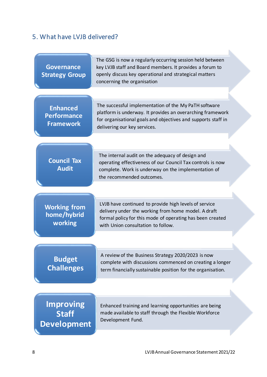## <span id="page-7-0"></span>5. What have LVJB delivered?

| <b>Governance</b><br><b>Strategy Group</b>                | The GSG is now a regularly occurring session held between<br>key LVJB staff and Board members. It provides a forum to<br>openly discuss key operational and strategical matters<br>concerning the organisation       |
|-----------------------------------------------------------|----------------------------------------------------------------------------------------------------------------------------------------------------------------------------------------------------------------------|
|                                                           |                                                                                                                                                                                                                      |
| <b>Enhanced</b><br><b>Performance</b><br><b>Framework</b> | The successful implementation of the My PaTH software<br>platform is underway. It provides an overarching framework<br>for organisational goals and objectives and supports staff in<br>delivering our key services. |
|                                                           |                                                                                                                                                                                                                      |
| <b>Council Tax</b><br><b>Audit</b>                        | The internal audit on the adequacy of design and<br>operating effectiveness of our Council Tax controls is now<br>complete. Work is underway on the implementation of<br>the recommended outcomes.                   |
|                                                           |                                                                                                                                                                                                                      |
| <b>Working from</b><br>home/hybrid<br>working             | LVJB have continued to provide high levels of service<br>delivery under the working from home model. A draft<br>formal policy for this mode of operating has been created<br>with Union consultation to follow.      |
|                                                           |                                                                                                                                                                                                                      |
| <b>Budget</b><br><b>Challenges</b>                        | A review of the Business Strategy 2020/2023 is now<br>complete with discussions commenced on creating a longer<br>term financially sustainable position for the organisation.                                        |
|                                                           |                                                                                                                                                                                                                      |
| <b>Improving</b><br><b>Staff</b><br><b>Development</b>    | Enhanced training and learning opportunities are being<br>made available to staff through the Flexible Workforce<br>Development Fund.                                                                                |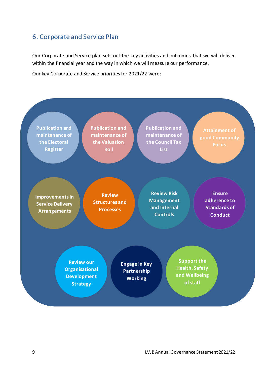#### <span id="page-8-0"></span>6. Corporate and Service Plan

Our Corporate and Service plan sets out the key activities and outcomes that we will deliver within the financial year and the way in which we will measure our performance.

Our key Corporate and Service priorities for 2021/22 were;

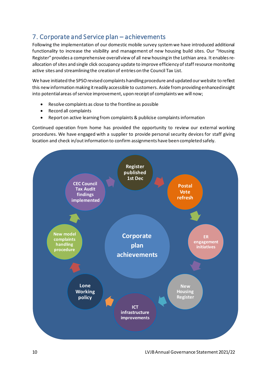### <span id="page-9-0"></span>7. Corporate and Service plan – achievements

Following the implementation of our domestic mobile survey system we have introduced additional functionality to increase the visibility and management of new housing build sites. Our "Housing Register" provides a comprehensive overall view of all new housing in the Lothian area. It enables reallocation of sites and single click occupancy update to improve efficiency of staff resource monitoring active sites and streamlining the creation of entries on the Council Tax List.

We have initiated the SPSO revised complaints handling procedure and updated our website to reflect this new information making it readily accessible to customers. Aside fromproviding enhanced insight into potential areas of service improvement, upon receipt of complaints we will now;

- Resolve complaints as close to the frontline as possible
- Record all complaints
- Report on active learning from complaints & publicise complaints information

Continued operation from home has provided the opportunity to review our external working procedures. We have engaged with a supplier to provide personal security devices for staff giving location and check in/out information to confirm assignments have been completed safely.

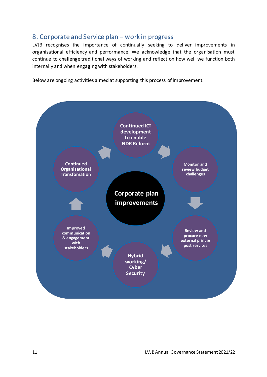#### <span id="page-10-0"></span>8. Corporate and Service plan – work in progress

LVJB recognises the importance of continually seeking to deliver improvements in organisational efficiency and performance. We acknowledge that the organisation must continue to challenge traditional ways of working and reflect on how well we function both internally and when engaging with stakeholders.

Below are ongoing activities aimed at supporting this process of improvement.